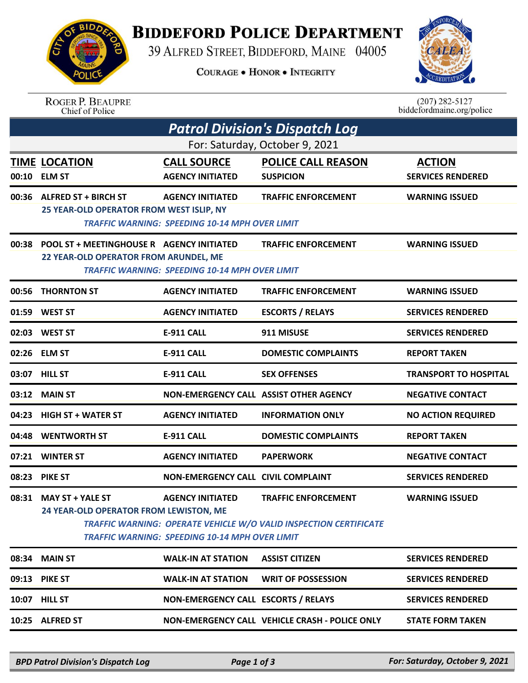## **BIDDEFORD POLICE DEPARTMENT**

39 ALFRED STREET, BIDDEFORD, MAINE 04005

**COURAGE . HONOR . INTEGRITY** 



ROGER P. BEAUPRE<br>Chief of Police

 $(207)$  282-5127<br>biddefordmaine.org/police

| For: Saturday, October 9, 2021<br><b>POLICE CALL REASON</b><br><b>TIME LOCATION</b><br><b>CALL SOURCE</b><br><b>ACTION</b><br>00:10 ELM ST<br><b>AGENCY INITIATED</b><br><b>SERVICES RENDERED</b><br><b>SUSPICION</b><br>00:36 ALFRED ST + BIRCH ST<br><b>AGENCY INITIATED</b><br><b>TRAFFIC ENFORCEMENT</b><br><b>WARNING ISSUED</b><br>25 YEAR-OLD OPERATOR FROM WEST ISLIP, NY<br><b>TRAFFIC WARNING: SPEEDING 10-14 MPH OVER LIMIT</b><br>00:38 POOL ST + MEETINGHOUSE R AGENCY INITIATED<br><b>TRAFFIC ENFORCEMENT</b><br><b>WARNING ISSUED</b><br>22 YEAR-OLD OPERATOR FROM ARUNDEL, ME<br><b>TRAFFIC WARNING: SPEEDING 10-14 MPH OVER LIMIT</b><br><b>THORNTON ST</b><br><b>TRAFFIC ENFORCEMENT</b><br>00:56<br><b>AGENCY INITIATED</b><br><b>WARNING ISSUED</b><br><b>ESCORTS / RELAYS</b><br>01:59<br><b>WEST ST</b><br><b>AGENCY INITIATED</b><br><b>SERVICES RENDERED</b><br>02:03<br><b>WEST ST</b><br><b>E-911 CALL</b><br>911 MISUSE<br><b>SERVICES RENDERED</b><br>02:26 ELM ST<br><b>E-911 CALL</b><br><b>DOMESTIC COMPLAINTS</b><br><b>REPORT TAKEN</b><br>03:07 HILL ST<br>E-911 CALL<br><b>SEX OFFENSES</b><br><b>MAIN ST</b><br>03:12<br>NON-EMERGENCY CALL ASSIST OTHER AGENCY<br><b>NEGATIVE CONTACT</b><br>04:23<br><b>HIGH ST + WATER ST</b><br><b>AGENCY INITIATED</b><br><b>INFORMATION ONLY</b><br><b>NO ACTION REQUIRED</b><br>04:48<br><b>WENTWORTH ST</b><br><b>E-911 CALL</b><br><b>DOMESTIC COMPLAINTS</b><br><b>REPORT TAKEN</b><br>07:21<br><b>WINTER ST</b><br><b>AGENCY INITIATED</b><br><b>NEGATIVE CONTACT</b><br><b>PAPERWORK</b><br>08:23 PIKE ST<br><b>NON-EMERGENCY CALL CIVIL COMPLAINT</b><br><b>SERVICES RENDERED</b><br>08:31 MAY ST + YALE ST<br><b>AGENCY INITIATED</b><br><b>TRAFFIC ENFORCEMENT</b><br><b>WARNING ISSUED</b><br>24 YEAR-OLD OPERATOR FROM LEWISTON, ME<br><b>TRAFFIC WARNING: OPERATE VEHICLE W/O VALID INSPECTION CERTIFICATE</b><br><b>TRAFFIC WARNING: SPEEDING 10-14 MPH OVER LIMIT</b><br><b>SERVICES RENDERED</b><br>08:34 MAIN ST<br><b>WALK-IN AT STATION</b><br><b>ASSIST CITIZEN</b><br>09:13 PIKE ST<br><b>WALK-IN AT STATION</b><br><b>WRIT OF POSSESSION</b><br><b>SERVICES RENDERED</b><br>NON-EMERGENCY CALL ESCORTS / RELAYS<br><b>SERVICES RENDERED</b><br>10:07 HILL ST | <b>Patrol Division's Dispatch Log</b> |  |  |  |                              |  |  |  |
|-------------------------------------------------------------------------------------------------------------------------------------------------------------------------------------------------------------------------------------------------------------------------------------------------------------------------------------------------------------------------------------------------------------------------------------------------------------------------------------------------------------------------------------------------------------------------------------------------------------------------------------------------------------------------------------------------------------------------------------------------------------------------------------------------------------------------------------------------------------------------------------------------------------------------------------------------------------------------------------------------------------------------------------------------------------------------------------------------------------------------------------------------------------------------------------------------------------------------------------------------------------------------------------------------------------------------------------------------------------------------------------------------------------------------------------------------------------------------------------------------------------------------------------------------------------------------------------------------------------------------------------------------------------------------------------------------------------------------------------------------------------------------------------------------------------------------------------------------------------------------------------------------------------------------------------------------------------------------------------------------------------------------------------------------------------------------------------------------------------------------------------------------------------------------------------------------------------------------------------------------------------|---------------------------------------|--|--|--|------------------------------|--|--|--|
|                                                                                                                                                                                                                                                                                                                                                                                                                                                                                                                                                                                                                                                                                                                                                                                                                                                                                                                                                                                                                                                                                                                                                                                                                                                                                                                                                                                                                                                                                                                                                                                                                                                                                                                                                                                                                                                                                                                                                                                                                                                                                                                                                                                                                                                             |                                       |  |  |  |                              |  |  |  |
|                                                                                                                                                                                                                                                                                                                                                                                                                                                                                                                                                                                                                                                                                                                                                                                                                                                                                                                                                                                                                                                                                                                                                                                                                                                                                                                                                                                                                                                                                                                                                                                                                                                                                                                                                                                                                                                                                                                                                                                                                                                                                                                                                                                                                                                             |                                       |  |  |  |                              |  |  |  |
|                                                                                                                                                                                                                                                                                                                                                                                                                                                                                                                                                                                                                                                                                                                                                                                                                                                                                                                                                                                                                                                                                                                                                                                                                                                                                                                                                                                                                                                                                                                                                                                                                                                                                                                                                                                                                                                                                                                                                                                                                                                                                                                                                                                                                                                             |                                       |  |  |  |                              |  |  |  |
|                                                                                                                                                                                                                                                                                                                                                                                                                                                                                                                                                                                                                                                                                                                                                                                                                                                                                                                                                                                                                                                                                                                                                                                                                                                                                                                                                                                                                                                                                                                                                                                                                                                                                                                                                                                                                                                                                                                                                                                                                                                                                                                                                                                                                                                             |                                       |  |  |  |                              |  |  |  |
|                                                                                                                                                                                                                                                                                                                                                                                                                                                                                                                                                                                                                                                                                                                                                                                                                                                                                                                                                                                                                                                                                                                                                                                                                                                                                                                                                                                                                                                                                                                                                                                                                                                                                                                                                                                                                                                                                                                                                                                                                                                                                                                                                                                                                                                             |                                       |  |  |  |                              |  |  |  |
|                                                                                                                                                                                                                                                                                                                                                                                                                                                                                                                                                                                                                                                                                                                                                                                                                                                                                                                                                                                                                                                                                                                                                                                                                                                                                                                                                                                                                                                                                                                                                                                                                                                                                                                                                                                                                                                                                                                                                                                                                                                                                                                                                                                                                                                             |                                       |  |  |  |                              |  |  |  |
|                                                                                                                                                                                                                                                                                                                                                                                                                                                                                                                                                                                                                                                                                                                                                                                                                                                                                                                                                                                                                                                                                                                                                                                                                                                                                                                                                                                                                                                                                                                                                                                                                                                                                                                                                                                                                                                                                                                                                                                                                                                                                                                                                                                                                                                             |                                       |  |  |  |                              |  |  |  |
|                                                                                                                                                                                                                                                                                                                                                                                                                                                                                                                                                                                                                                                                                                                                                                                                                                                                                                                                                                                                                                                                                                                                                                                                                                                                                                                                                                                                                                                                                                                                                                                                                                                                                                                                                                                                                                                                                                                                                                                                                                                                                                                                                                                                                                                             |                                       |  |  |  |                              |  |  |  |
|                                                                                                                                                                                                                                                                                                                                                                                                                                                                                                                                                                                                                                                                                                                                                                                                                                                                                                                                                                                                                                                                                                                                                                                                                                                                                                                                                                                                                                                                                                                                                                                                                                                                                                                                                                                                                                                                                                                                                                                                                                                                                                                                                                                                                                                             |                                       |  |  |  | <b>TRANSPORT TO HOSPITAL</b> |  |  |  |
|                                                                                                                                                                                                                                                                                                                                                                                                                                                                                                                                                                                                                                                                                                                                                                                                                                                                                                                                                                                                                                                                                                                                                                                                                                                                                                                                                                                                                                                                                                                                                                                                                                                                                                                                                                                                                                                                                                                                                                                                                                                                                                                                                                                                                                                             |                                       |  |  |  |                              |  |  |  |
|                                                                                                                                                                                                                                                                                                                                                                                                                                                                                                                                                                                                                                                                                                                                                                                                                                                                                                                                                                                                                                                                                                                                                                                                                                                                                                                                                                                                                                                                                                                                                                                                                                                                                                                                                                                                                                                                                                                                                                                                                                                                                                                                                                                                                                                             |                                       |  |  |  |                              |  |  |  |
|                                                                                                                                                                                                                                                                                                                                                                                                                                                                                                                                                                                                                                                                                                                                                                                                                                                                                                                                                                                                                                                                                                                                                                                                                                                                                                                                                                                                                                                                                                                                                                                                                                                                                                                                                                                                                                                                                                                                                                                                                                                                                                                                                                                                                                                             |                                       |  |  |  |                              |  |  |  |
|                                                                                                                                                                                                                                                                                                                                                                                                                                                                                                                                                                                                                                                                                                                                                                                                                                                                                                                                                                                                                                                                                                                                                                                                                                                                                                                                                                                                                                                                                                                                                                                                                                                                                                                                                                                                                                                                                                                                                                                                                                                                                                                                                                                                                                                             |                                       |  |  |  |                              |  |  |  |
|                                                                                                                                                                                                                                                                                                                                                                                                                                                                                                                                                                                                                                                                                                                                                                                                                                                                                                                                                                                                                                                                                                                                                                                                                                                                                                                                                                                                                                                                                                                                                                                                                                                                                                                                                                                                                                                                                                                                                                                                                                                                                                                                                                                                                                                             |                                       |  |  |  |                              |  |  |  |
|                                                                                                                                                                                                                                                                                                                                                                                                                                                                                                                                                                                                                                                                                                                                                                                                                                                                                                                                                                                                                                                                                                                                                                                                                                                                                                                                                                                                                                                                                                                                                                                                                                                                                                                                                                                                                                                                                                                                                                                                                                                                                                                                                                                                                                                             |                                       |  |  |  |                              |  |  |  |
|                                                                                                                                                                                                                                                                                                                                                                                                                                                                                                                                                                                                                                                                                                                                                                                                                                                                                                                                                                                                                                                                                                                                                                                                                                                                                                                                                                                                                                                                                                                                                                                                                                                                                                                                                                                                                                                                                                                                                                                                                                                                                                                                                                                                                                                             |                                       |  |  |  |                              |  |  |  |
|                                                                                                                                                                                                                                                                                                                                                                                                                                                                                                                                                                                                                                                                                                                                                                                                                                                                                                                                                                                                                                                                                                                                                                                                                                                                                                                                                                                                                                                                                                                                                                                                                                                                                                                                                                                                                                                                                                                                                                                                                                                                                                                                                                                                                                                             |                                       |  |  |  |                              |  |  |  |
|                                                                                                                                                                                                                                                                                                                                                                                                                                                                                                                                                                                                                                                                                                                                                                                                                                                                                                                                                                                                                                                                                                                                                                                                                                                                                                                                                                                                                                                                                                                                                                                                                                                                                                                                                                                                                                                                                                                                                                                                                                                                                                                                                                                                                                                             |                                       |  |  |  |                              |  |  |  |
| 10:25 ALFRED ST<br>NON-EMERGENCY CALL VEHICLE CRASH - POLICE ONLY<br><b>STATE FORM TAKEN</b>                                                                                                                                                                                                                                                                                                                                                                                                                                                                                                                                                                                                                                                                                                                                                                                                                                                                                                                                                                                                                                                                                                                                                                                                                                                                                                                                                                                                                                                                                                                                                                                                                                                                                                                                                                                                                                                                                                                                                                                                                                                                                                                                                                |                                       |  |  |  |                              |  |  |  |

*BPD Patrol Division's Dispatch Log Page 1 of 3 For: Saturday, October 9, 2021*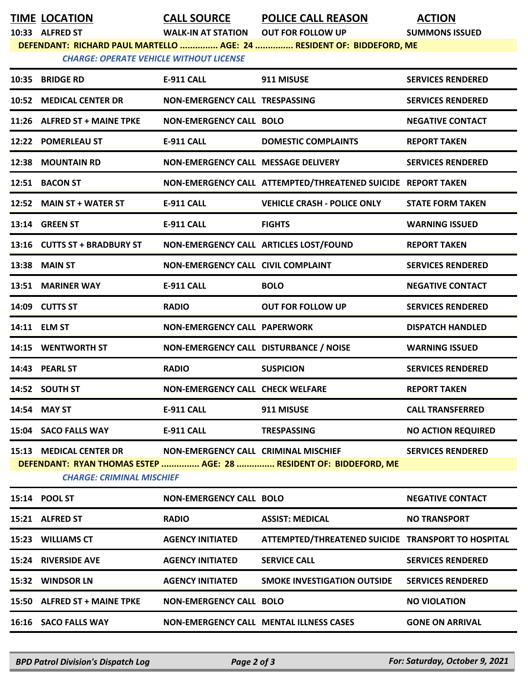| <b>TIME LOCATION</b> |
|----------------------|
|                      |

**TIME LOCATION CALL SOURCE POLICE CALL REASON ACTION**

**10:33 ALFRED ST WALK-IN AT STATION OUT FOR FOLLOW UP SUMMONS ISSUED**

**DEFENDANT: RICHARD PAUL MARTELLO ............... AGE: 24 ............... RESIDENT OF: BIDDEFORD, ME**

*CHARGE: OPERATE VEHICLE WITHOUT LICENSE* 

|       | 10:35 BRIDGE RD                  | E-911 CALL                              | 911 MISUSE                                                        | <b>SERVICES RENDERED</b>  |
|-------|----------------------------------|-----------------------------------------|-------------------------------------------------------------------|---------------------------|
|       | 10:52 MEDICAL CENTER DR          | <b>NON-EMERGENCY CALL TRESPASSING</b>   |                                                                   | <b>SERVICES RENDERED</b>  |
|       | 11:26 ALFRED ST + MAINE TPKE     | <b>NON-EMERGENCY CALL BOLO</b>          |                                                                   | <b>NEGATIVE CONTACT</b>   |
|       | 12:22 POMERLEAU ST               | <b>E-911 CALL</b>                       | <b>DOMESTIC COMPLAINTS</b>                                        | <b>REPORT TAKEN</b>       |
|       | 12:38 MOUNTAIN RD                | NON-EMERGENCY CALL MESSAGE DELIVERY     |                                                                   | <b>SERVICES RENDERED</b>  |
|       | 12:51 BACON ST                   |                                         | NON-EMERGENCY CALL ATTEMPTED/THREATENED SUICIDE REPORT TAKEN      |                           |
|       | 12:52 MAIN ST + WATER ST         | <b>E-911 CALL</b>                       | <b>VEHICLE CRASH - POLICE ONLY</b>                                | <b>STATE FORM TAKEN</b>   |
|       | 13:14 GREEN ST                   | <b>E-911 CALL</b>                       | <b>FIGHTS</b>                                                     | <b>WARNING ISSUED</b>     |
|       | 13:16 CUTTS ST + BRADBURY ST     |                                         | NON-EMERGENCY CALL ARTICLES LOST/FOUND                            | <b>REPORT TAKEN</b>       |
|       | <b>13:38 MAIN ST</b>             | NON-EMERGENCY CALL CIVIL COMPLAINT      |                                                                   | <b>SERVICES RENDERED</b>  |
|       | 13:51 MARINER WAY                | <b>E-911 CALL</b>                       | <b>BOLO</b>                                                       | <b>NEGATIVE CONTACT</b>   |
|       | 14:09 CUTTS ST                   | <b>RADIO</b>                            | <b>OUT FOR FOLLOW UP</b>                                          | <b>SERVICES RENDERED</b>  |
|       | 14:11 ELM ST                     | <b>NON-EMERGENCY CALL PAPERWORK</b>     |                                                                   | <b>DISPATCH HANDLED</b>   |
|       | 14:15 WENTWORTH ST               | NON-EMERGENCY CALL DISTURBANCE / NOISE  |                                                                   | <b>WARNING ISSUED</b>     |
|       | 14:43 PEARL ST                   | <b>RADIO</b>                            | <b>SUSPICION</b>                                                  | <b>SERVICES RENDERED</b>  |
|       | 14:52 SOUTH ST                   | <b>NON-EMERGENCY CALL CHECK WELFARE</b> |                                                                   | <b>REPORT TAKEN</b>       |
|       | 14:54 MAY ST                     | <b>E-911 CALL</b>                       | 911 MISUSE                                                        | <b>CALL TRANSFERRED</b>   |
|       | 15:04 SACO FALLS WAY             | <b>E-911 CALL</b>                       | <b>TRESPASSING</b>                                                | <b>NO ACTION REQUIRED</b> |
|       | 15:13 MEDICAL CENTER DR          | NON-EMERGENCY CALL CRIMINAL MISCHIEF    |                                                                   | <b>SERVICES RENDERED</b>  |
|       | <b>CHARGE: CRIMINAL MISCHIEF</b> |                                         | DEFENDANT: RYAN THOMAS ESTEP  AGE: 28  RESIDENT OF: BIDDEFORD, ME |                           |
|       | 15:14 POOL ST                    | <b>NON-EMERGENCY CALL BOLO</b>          |                                                                   | <b>NEGATIVE CONTACT</b>   |
|       | 15:21 ALFRED ST                  | <b>RADIO</b>                            | <b>ASSIST: MEDICAL</b>                                            | <b>NO TRANSPORT</b>       |
|       | 15:23 WILLIAMS CT                | <b>AGENCY INITIATED</b>                 | ATTEMPTED/THREATENED SUICIDE TRANSPORT TO HOSPITAL                |                           |
| 15:24 | <b>RIVERSIDE AVE</b>             | <b>AGENCY INITIATED</b>                 | <b>SERVICE CALL</b>                                               | <b>SERVICES RENDERED</b>  |
| 15:32 | <b>WINDSOR LN</b>                | <b>AGENCY INITIATED</b>                 | <b>SMOKE INVESTIGATION OUTSIDE</b>                                | <b>SERVICES RENDERED</b>  |
|       | 15:50 ALFRED ST + MAINE TPKE     | <b>NON-EMERGENCY CALL BOLO</b>          |                                                                   | <b>NO VIOLATION</b>       |
|       | 16:16 SACO FALLS WAY             |                                         | <b>NON-EMERGENCY CALL MENTAL ILLNESS CASES</b>                    | <b>GONE ON ARRIVAL</b>    |
|       |                                  |                                         |                                                                   |                           |